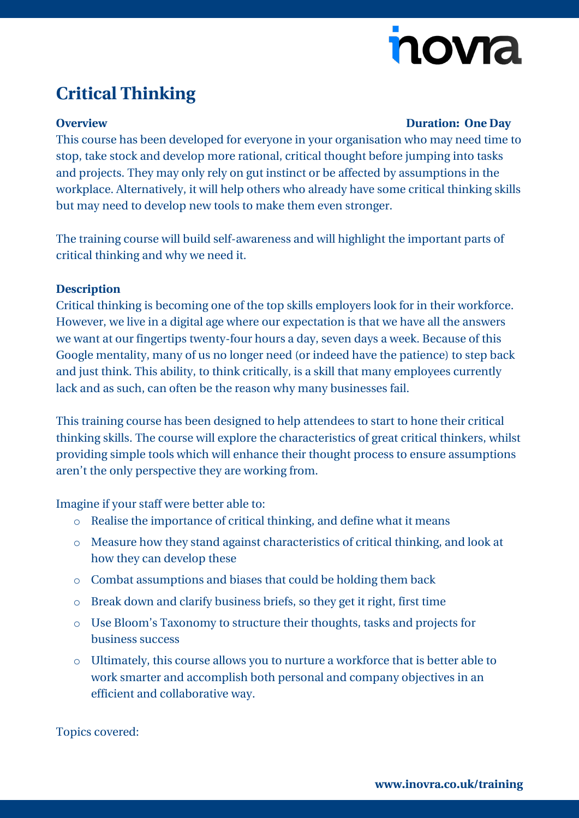# novia

## **Critical Thinking**

#### **Overview Duration: One Day**

This course has been developed for everyone in your organisation who may need time to stop, take stock and develop more rational, critical thought before jumping into tasks and projects. They may only rely on gut instinct or be affected by assumptions in the workplace. Alternatively, it will help others who already have some critical thinking skills but may need to develop new tools to make them even stronger.

The training course will build self-awareness and will highlight the important parts of critical thinking and why we need it.

### **Description**

Critical thinking is becoming one of the top skills employers look for in their workforce. However, we live in a digital age where our expectation is that we have all the answers we want at our fingertips twenty-four hours a day, seven days a week. Because of this Google mentality, many of us no longer need (or indeed have the patience) to step back and just think. This ability, to think critically, is a skill that many employees currently lack and as such, can often be the reason why many businesses fail.

This training course has been designed to help attendees to start to hone their critical thinking skills. The course will explore the characteristics of great critical thinkers, whilst providing simple tools which will enhance their thought process to ensure assumptions aren't the only perspective they are working from.

Imagine if your staff were better able to:

- o Realise the importance of critical thinking, and define what it means
- o Measure how they stand against characteristics of critical thinking, and look at how they can develop these
- o Combat assumptions and biases that could be holding them back
- o Break down and clarify business briefs, so they get it right, first time
- o Use Bloom's Taxonomy to structure their thoughts, tasks and projects for business success
- o Ultimately, this course allows you to nurture a workforce that is better able to work smarter and accomplish both personal and company objectives in an efficient and collaborative way.

Topics covered: